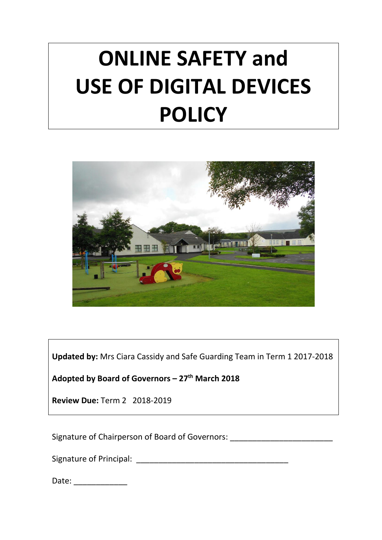# **ONLINE SAFETY and USE OF DIGITAL DEVICES POLICY**



**Updated by:** Mrs Ciara Cassidy and Safe Guarding Team in Term 1 2017-2018

**Adopted by Board of Governors – 27th March 2018**

**Review Due:** Term 2 2018-2019

Signature of Chairperson of Board of Governors: \_\_\_\_\_\_\_\_\_\_\_\_\_\_\_\_\_\_\_\_\_\_\_\_\_\_\_\_\_\_\_\_

Signature of Principal: \_\_\_\_\_\_\_\_\_\_\_\_\_\_\_\_\_\_\_\_\_\_\_\_\_\_\_\_\_\_\_\_\_\_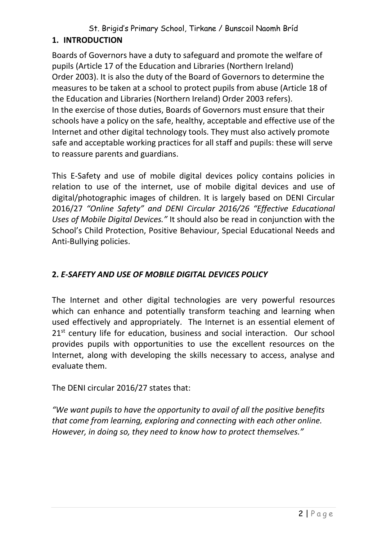# St. Brigid's Primary School, Tirkane / Bunscoil Naomh Bríd

## **1. INTRODUCTION**

Boards of Governors have a duty to safeguard and promote the welfare of pupils (Article 17 of the Education and Libraries (Northern Ireland) Order 2003). It is also the duty of the Board of Governors to determine the measures to be taken at a school to protect pupils from abuse (Article 18 of the Education and Libraries (Northern Ireland) Order 2003 refers). In the exercise of those duties, Boards of Governors must ensure that their schools have a policy on the safe, healthy, acceptable and effective use of the Internet and other digital technology tools. They must also actively promote safe and acceptable working practices for all staff and pupils: these will serve to reassure parents and guardians.

This E-Safety and use of mobile digital devices policy contains policies in relation to use of the internet, use of mobile digital devices and use of digital/photographic images of children. It is largely based on DENI Circular 2016/27 *"Online Safety" and DENI Circular 2016/26 "Effective Educational Uses of Mobile Digital Devices."* It should also be read in conjunction with the School's Child Protection, Positive Behaviour, Special Educational Needs and Anti-Bullying policies.

# **2.** *E-SAFETY AND USE OF MOBILE DIGITAL DEVICES POLICY*

The Internet and other digital technologies are very powerful resources which can enhance and potentially transform teaching and learning when used effectively and appropriately. The Internet is an essential element of 21<sup>st</sup> century life for education, business and social interaction. Our school provides pupils with opportunities to use the excellent resources on the Internet, along with developing the skills necessary to access, analyse and evaluate them.

The DENI circular 2016/27 states that:

*"We want pupils to have the opportunity to avail of all the positive benefits that come from learning, exploring and connecting with each other online. However, in doing so, they need to know how to protect themselves."*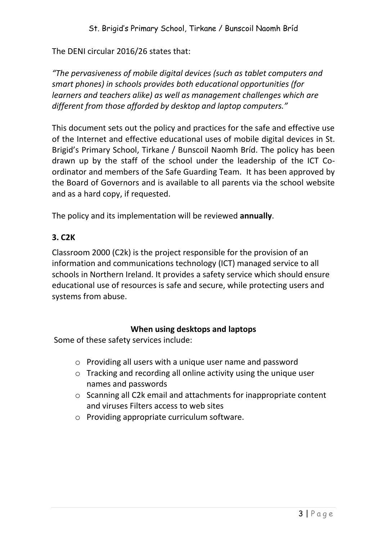The DENI circular 2016/26 states that:

*"The pervasiveness of mobile digital devices (such as tablet computers and smart phones) in schools provides both educational opportunities (for learners and teachers alike) as well as management challenges which are different from those afforded by desktop and laptop computers."* 

This document sets out the policy and practices for the safe and effective use of the Internet and effective educational uses of mobile digital devices in St. Brigid's Primary School, Tirkane / Bunscoil Naomh Bríd. The policy has been drawn up by the staff of the school under the leadership of the ICT Coordinator and members of the Safe Guarding Team. It has been approved by the Board of Governors and is available to all parents via the school website and as a hard copy, if requested.

The policy and its implementation will be reviewed **annually**.

#### **3. C2K**

Classroom 2000 (C2k) is the project responsible for the provision of an information and communications technology (ICT) managed service to all schools in Northern Ireland. It provides a safety service which should ensure educational use of resources is safe and secure, while protecting users and systems from abuse.

#### **When using desktops and laptops**

Some of these safety services include:

- o Providing all users with a unique user name and password
- o Tracking and recording all online activity using the unique user names and passwords
- o Scanning all C2k email and attachments for inappropriate content and viruses Filters access to web sites
- o Providing appropriate curriculum software.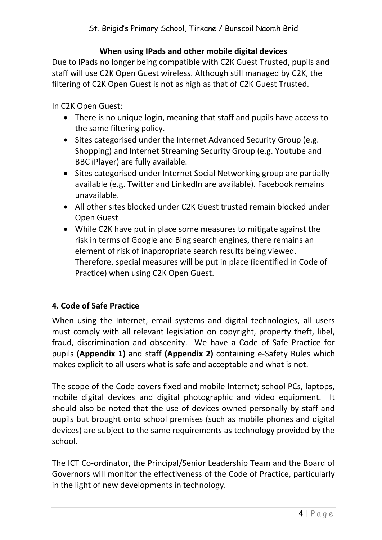#### **When using IPads and other mobile digital devices**

Due to IPads no longer being compatible with C2K Guest Trusted, pupils and staff will use C2K Open Guest wireless. Although still managed by C2K, the filtering of C2K Open Guest is not as high as that of C2K Guest Trusted.

In C2K Open Guest:

- There is no unique login, meaning that staff and pupils have access to the same filtering policy.
- Sites categorised under the Internet Advanced Security Group (e.g. Shopping) and Internet Streaming Security Group (e.g. Youtube and BBC iPlayer) are fully available.
- Sites categorised under Internet Social Networking group are partially available (e.g. Twitter and LinkedIn are available). Facebook remains unavailable.
- All other sites blocked under C2K Guest trusted remain blocked under Open Guest
- While C2K have put in place some measures to mitigate against the risk in terms of Google and Bing search engines, there remains an element of risk of inappropriate search results being viewed. Therefore, special measures will be put in place (identified in Code of Practice) when using C2K Open Guest.

## **4. Code of Safe Practice**

When using the Internet, email systems and digital technologies, all users must comply with all relevant legislation on copyright, property theft, libel, fraud, discrimination and obscenity. We have a Code of Safe Practice for pupils **(Appendix 1)** and staff **(Appendix 2)** containing e-Safety Rules which makes explicit to all users what is safe and acceptable and what is not.

The scope of the Code covers fixed and mobile Internet; school PCs, laptops, mobile digital devices and digital photographic and video equipment. It should also be noted that the use of devices owned personally by staff and pupils but brought onto school premises (such as mobile phones and digital devices) are subject to the same requirements as technology provided by the school.

The ICT Co-ordinator, the Principal/Senior Leadership Team and the Board of Governors will monitor the effectiveness of the Code of Practice, particularly in the light of new developments in technology.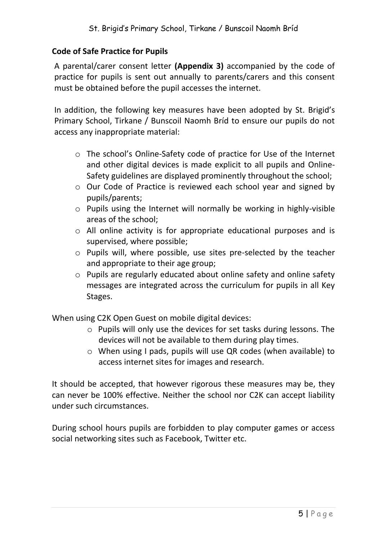#### **Code of Safe Practice for Pupils**

A parental/carer consent letter **(Appendix 3)** accompanied by the code of practice for pupils is sent out annually to parents/carers and this consent must be obtained before the pupil accesses the internet.

In addition, the following key measures have been adopted by St. Brigid's Primary School, Tirkane / Bunscoil Naomh Bríd to ensure our pupils do not access any inappropriate material:

- o The school's Online-Safety code of practice for Use of the Internet and other digital devices is made explicit to all pupils and Online-Safety guidelines are displayed prominently throughout the school;
- o Our Code of Practice is reviewed each school year and signed by pupils/parents;
- o Pupils using the Internet will normally be working in highly-visible areas of the school;
- o All online activity is for appropriate educational purposes and is supervised, where possible;
- o Pupils will, where possible, use sites pre-selected by the teacher and appropriate to their age group;
- o Pupils are regularly educated about online safety and online safety messages are integrated across the curriculum for pupils in all Key Stages.

When using C2K Open Guest on mobile digital devices:

- o Pupils will only use the devices for set tasks during lessons. The devices will not be available to them during play times.
- o When using I pads, pupils will use QR codes (when available) to access internet sites for images and research.

It should be accepted, that however rigorous these measures may be, they can never be 100% effective. Neither the school nor C2K can accept liability under such circumstances.

During school hours pupils are forbidden to play computer games or access social networking sites such as Facebook, Twitter etc.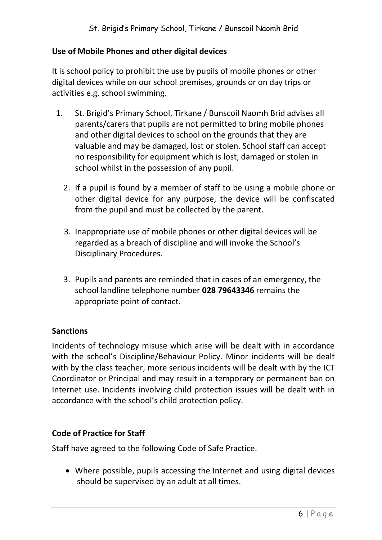#### **Use of Mobile Phones and other digital devices**

It is school policy to prohibit the use by pupils of mobile phones or other digital devices while on our school premises, grounds or on day trips or activities e.g. school swimming.

- 1. St. Brigid's Primary School, Tirkane / Bunscoil Naomh Bríd advises all parents/carers that pupils are not permitted to bring mobile phones and other digital devices to school on the grounds that they are valuable and may be damaged, lost or stolen. School staff can accept no responsibility for equipment which is lost, damaged or stolen in school whilst in the possession of any pupil.
	- 2. If a pupil is found by a member of staff to be using a mobile phone or other digital device for any purpose, the device will be confiscated from the pupil and must be collected by the parent.
	- 3. Inappropriate use of mobile phones or other digital devices will be regarded as a breach of discipline and will invoke the School's Disciplinary Procedures.
	- 3. Pupils and parents are reminded that in cases of an emergency, the school landline telephone number **028 79643346** remains the appropriate point of contact.

#### **Sanctions**

Incidents of technology misuse which arise will be dealt with in accordance with the school's Discipline/Behaviour Policy. Minor incidents will be dealt with by the class teacher, more serious incidents will be dealt with by the ICT Coordinator or Principal and may result in a temporary or permanent ban on Internet use. Incidents involving child protection issues will be dealt with in accordance with the school's child protection policy.

#### **Code of Practice for Staff**

Staff have agreed to the following Code of Safe Practice.

 Where possible, pupils accessing the Internet and using digital devices should be supervised by an adult at all times.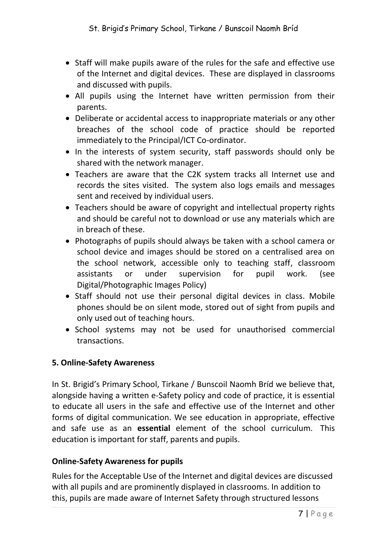- Staff will make pupils aware of the rules for the safe and effective use of the Internet and digital devices. These are displayed in classrooms and discussed with pupils.
- All pupils using the Internet have written permission from their parents.
- Deliberate or accidental access to inappropriate materials or any other breaches of the school code of practice should be reported immediately to the Principal/ICT Co-ordinator.
- In the interests of system security, staff passwords should only be shared with the network manager.
- Teachers are aware that the C2K system tracks all Internet use and records the sites visited. The system also logs emails and messages sent and received by individual users.
- Teachers should be aware of copyright and intellectual property rights and should be careful not to download or use any materials which are in breach of these.
- Photographs of pupils should always be taken with a school camera or school device and images should be stored on a centralised area on the school network, accessible only to teaching staff, classroom assistants or under supervision for pupil work. (see Digital/Photographic Images Policy)
- Staff should not use their personal digital devices in class. Mobile phones should be on silent mode, stored out of sight from pupils and only used out of teaching hours.
- School systems may not be used for unauthorised commercial transactions.

## **5. Online-Safety Awareness**

In St. Brigid's Primary School, Tirkane / Bunscoil Naomh Bríd we believe that, alongside having a written e-Safety policy and code of practice, it is essential to educate all users in the safe and effective use of the Internet and other forms of digital communication. We see education in appropriate, effective and safe use as an **essential** element of the school curriculum. This education is important for staff, parents and pupils.

## **Online-Safety Awareness for pupils**

Rules for the Acceptable Use of the Internet and digital devices are discussed with all pupils and are prominently displayed in classrooms. In addition to this, pupils are made aware of Internet Safety through structured lessons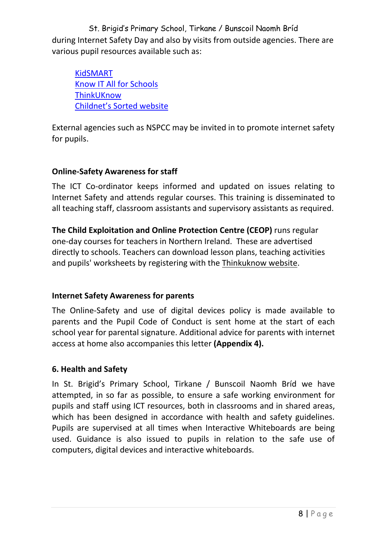St. Brigid's Primary School, Tirkane / Bunscoil Naomh Bríd during Internet Safety Day and also by visits from outside agencies. There are various pupil resources available such as:

[KidSMART](http://www.kidsmart.org.uk/awards.aspx) [Know IT All for Schools](http://www.childnet-int.org/kia/schools/) **[ThinkUKnow](http://www.thinkuknow.co.uk/)** Childnet's [Sorted website](http://www.childnet-int.org/sorted/)

External agencies such as NSPCC may be invited in to promote internet safety for pupils.

## **Online-Safety Awareness for staff**

The ICT Co-ordinator keeps informed and updated on issues relating to Internet Safety and attends regular courses. This training is disseminated to all teaching staff, classroom assistants and supervisory assistants as required.

**The Child Exploitation and Online Protection Centre (CEOP)** runs regular one-day courses for teachers in Northern Ireland. These are advertised directly to schools. Teachers can download lesson plans, teaching activities and pupils' worksheets by registering with the [Thinkuknow website.](http://thinkuknow.co.uk/)

## **Internet Safety Awareness for parents**

The Online-Safety and use of digital devices policy is made available to parents and the Pupil Code of Conduct is sent home at the start of each school year for parental signature. Additional advice for parents with internet access at home also accompanies this letter **(Appendix 4).** 

# **6. Health and Safety**

In St. Brigid's Primary School, Tirkane / Bunscoil Naomh Bríd we have attempted, in so far as possible, to ensure a safe working environment for pupils and staff using ICT resources, both in classrooms and in shared areas, which has been designed in accordance with health and safety guidelines. Pupils are supervised at all times when Interactive Whiteboards are being used. Guidance is also issued to pupils in relation to the safe use of computers, digital devices and interactive whiteboards.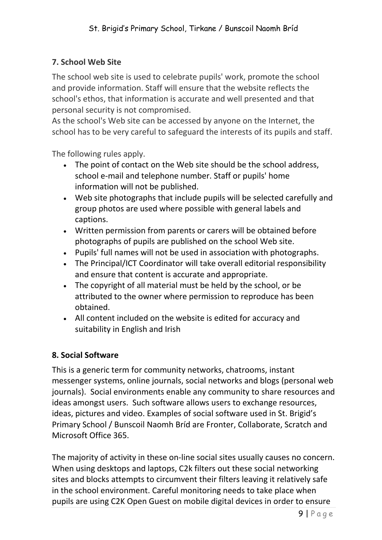## **7. School Web Site**

The school web site is used to celebrate pupils' work, promote the school and provide information. Staff will ensure that the website reflects the school's ethos, that information is accurate and well presented and that personal security is not compromised.

As the school's Web site can be accessed by anyone on the Internet, the school has to be very careful to safeguard the interests of its pupils and staff.

The following rules apply.

- The point of contact on the Web site should be the school address, school e-mail and telephone number. Staff or pupils' home information will not be published.
- Web site photographs that include pupils will be selected carefully and group photos are used where possible with general labels and captions.
- Written permission from parents or carers will be obtained before photographs of pupils are published on the school Web site.
- Pupils' full names will not be used in association with photographs.
- The Principal/ICT Coordinator will take overall editorial responsibility and ensure that content is accurate and appropriate.
- The copyright of all material must be held by the school, or be attributed to the owner where permission to reproduce has been obtained.
- All content included on the website is edited for accuracy and suitability in English and Irish

#### **8. Social Software**

This is a generic term for community networks, chatrooms, instant messenger systems, online journals, social networks and blogs (personal web journals). Social environments enable any community to share resources and ideas amongst users. Such software allows users to exchange resources, ideas, pictures and video. Examples of social software used in St. Brigid's Primary School / Bunscoil Naomh Bríd are Fronter, Collaborate, Scratch and Microsoft Office 365.

The majority of activity in these on-line social sites usually causes no concern. When using desktops and laptops, C2k filters out these social networking sites and blocks attempts to circumvent their filters leaving it relatively safe in the school environment. Careful monitoring needs to take place when pupils are using C2K Open Guest on mobile digital devices in order to ensure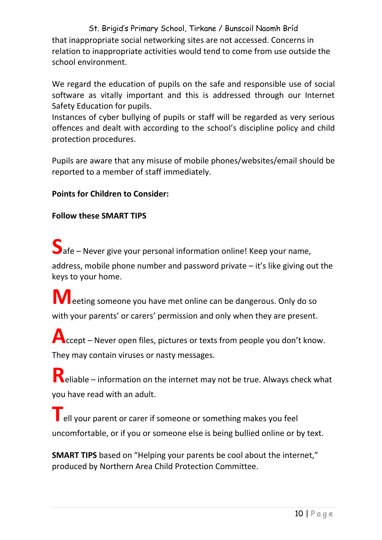St. Brigid's Primary School, Tirkane / Bunscoil Naomh Bríd that inappropriate social networking sites are not accessed. Concerns in relation to inappropriate activities would tend to come from use outside the school environment.

We regard the education of pupils on the safe and responsible use of social software as vitally important and this is addressed through our Internet Safety Education for pupils.

Instances of cyber bullying of pupils or staff will be regarded as very serious offences and dealt with according to the school's discipline policy and child protection procedures.

Pupils are aware that any misuse of mobile phones/websites/email should be reported to a member of staff immediately.

## **Points for Children to Consider:**

#### **Follow these SMART TIPS**

**S**afe – Never give your personal information online! Keep your name,

address, mobile phone number and password private – it's like giving out the keys to your home.

**M**eeting someone you have met online can be dangerous. Only do so with your parents' or carers' permission and only when they are present.

**A**ccept – Never open files, pictures or texts from people you don't know. They may contain viruses or nasty messages.

**R**eliable – information on the internet may not be true. Always check what you have read with an adult.

**T**ell your parent or carer if someone or something makes you feel uncomfortable, or if you or someone else is being bullied online or by text.

**SMART TIPS** based on "Helping your parents be cool about the internet," produced by Northern Area Child Protection Committee.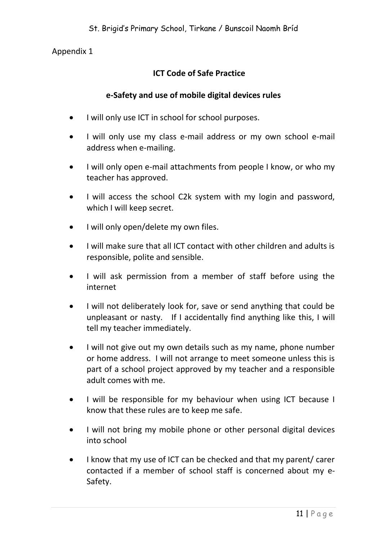Appendix 1

# **ICT Code of Safe Practice**

## **e-Safety and use of mobile digital devices rules**

- I will only use ICT in school for school purposes.
- I will only use my class e-mail address or my own school e-mail address when e-mailing.
- I will only open e-mail attachments from people I know, or who my teacher has approved.
- I will access the school C2k system with my login and password, which I will keep secret.
- I will only open/delete my own files.
- I will make sure that all ICT contact with other children and adults is responsible, polite and sensible.
- I will ask permission from a member of staff before using the internet
- I will not deliberately look for, save or send anything that could be unpleasant or nasty. If I accidentally find anything like this, I will tell my teacher immediately.
- I will not give out my own details such as my name, phone number or home address. I will not arrange to meet someone unless this is part of a school project approved by my teacher and a responsible adult comes with me.
- I will be responsible for my behaviour when using ICT because I know that these rules are to keep me safe.
- I will not bring my mobile phone or other personal digital devices into school
- I know that my use of ICT can be checked and that my parent/ carer contacted if a member of school staff is concerned about my e-Safety.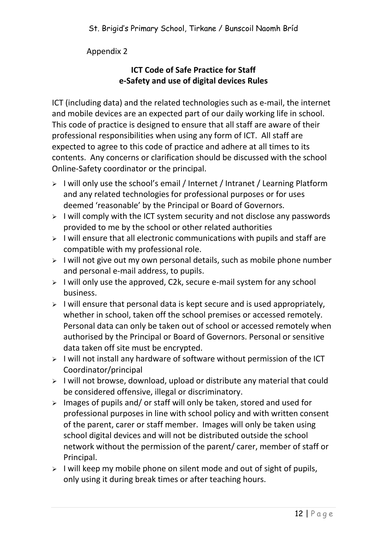## Appendix 2

## **ICT Code of Safe Practice for Staff e-Safety and use of digital devices Rules**

ICT (including data) and the related technologies such as e-mail, the internet and mobile devices are an expected part of our daily working life in school. This code of practice is designed to ensure that all staff are aware of their professional responsibilities when using any form of ICT. All staff are expected to agree to this code of practice and adhere at all times to its contents. Any concerns or clarification should be discussed with the school Online-Safety coordinator or the principal.

- $\triangleright$  I will only use the school's email / Internet / Intranet / Learning Platform and any related technologies for professional purposes or for uses deemed 'reasonable' by the Principal or Board of Governors.
- $\triangleright$  I will comply with the ICT system security and not disclose any passwords provided to me by the school or other related authorities
- $\geq$  I will ensure that all electronic communications with pupils and staff are compatible with my professional role.
- $\triangleright$  I will not give out my own personal details, such as mobile phone number and personal e-mail address, to pupils.
- $\triangleright$  I will only use the approved, C2k, secure e-mail system for any school business.
- $\triangleright$  I will ensure that personal data is kept secure and is used appropriately, whether in school, taken off the school premises or accessed remotely. Personal data can only be taken out of school or accessed remotely when authorised by the Principal or Board of Governors. Personal or sensitive data taken off site must be encrypted.
- $>$  I will not install any hardware of software without permission of the ICT Coordinator/principal
- $\triangleright$  I will not browse, download, upload or distribute any material that could be considered offensive, illegal or discriminatory.
- $\ge$  Images of pupils and/ or staff will only be taken, stored and used for professional purposes in line with school policy and with written consent of the parent, carer or staff member. Images will only be taken using school digital devices and will not be distributed outside the school network without the permission of the parent/ carer, member of staff or Principal.
- $\triangleright$  I will keep my mobile phone on silent mode and out of sight of pupils, only using it during break times or after teaching hours.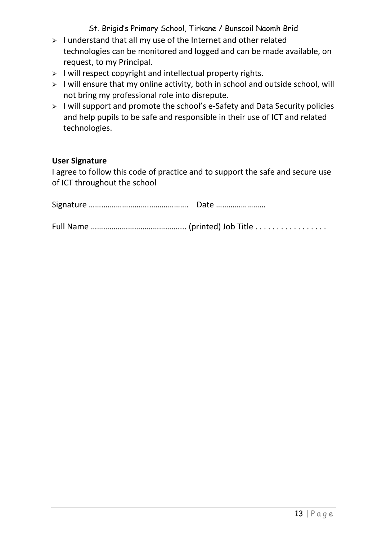St. Brigid's Primary School, Tirkane / Bunscoil Naomh Bríd

- $\triangleright$  I understand that all my use of the Internet and other related technologies can be monitored and logged and can be made available, on request, to my Principal.
- $\triangleright$  I will respect copyright and intellectual property rights.
- $\triangleright$  I will ensure that my online activity, both in school and outside school, will not bring my professional role into disrepute.
- $\triangleright$  I will support and promote the school's e-Safety and Data Security policies and help pupils to be safe and responsible in their use of ICT and related technologies.

#### **User Signature**

I agree to follow this code of practice and to support the safe and secure use of ICT throughout the school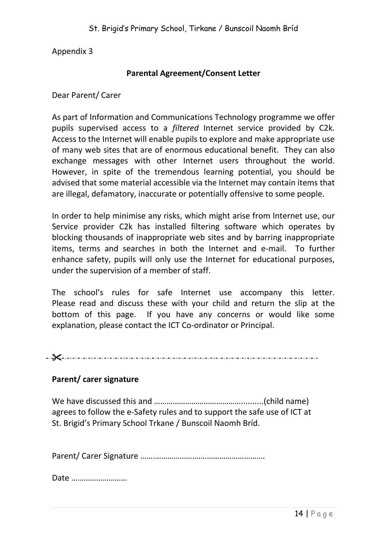Appendix 3

#### **Parental Agreement/Consent Letter**

Dear Parent/ Carer

As part of Information and Communications Technology programme we offer pupils supervised access to a *filtered* Internet service provided by C2k. Access to the Internet will enable pupils to explore and make appropriate use of many web sites that are of enormous educational benefit. They can also exchange messages with other Internet users throughout the world. However, in spite of the tremendous learning potential, you should be advised that some material accessible via the Internet may contain items that are illegal, defamatory, inaccurate or potentially offensive to some people.

In order to help minimise any risks, which might arise from Internet use, our Service provider C2k has installed filtering software which operates by blocking thousands of inappropriate web sites and by barring inappropriate items, terms and searches in both the Internet and e-mail. To further enhance safety, pupils will only use the Internet for educational purposes, under the supervision of a member of staff.

The school's rules for safe Internet use accompany this letter. Please read and discuss these with your child and return the slip at the bottom of this page. If you have any concerns or would like some explanation, please contact the ICT Co-ordinator or Principal.

 $-\frac{1}{2}$  . The contract of the contract of the contract of the contract of the contract of the contract of the contract of the contract of the contract of the contract of the contract of the contract of the contract of t

#### **Parent/ carer signature**

We have discussed this and ……………………………………..........(child name) agrees to follow the e-Safety rules and to support the safe use of ICT at St. Brigid's Primary School Trkane / Bunscoil Naomh Bríd.

Parent/ Carer Signature …….………………….………………………….

Date ………………………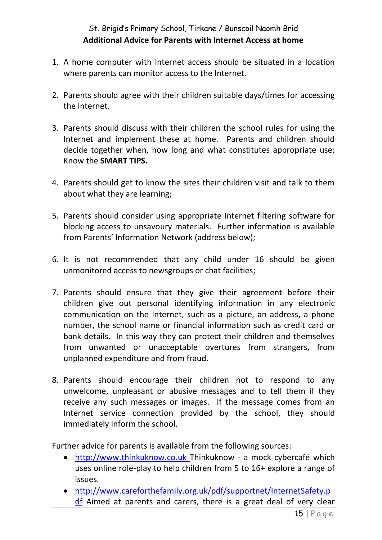# St. Brigid's Primary School, Tirkane / Bunscoil Naomh Bríd **Additional Advice for Parents with Internet Access at home**

- 1. A home computer with Internet access should be situated in a location where parents can monitor access to the Internet.
- 2. Parents should agree with their children suitable days/times for accessing the Internet.
- 3. Parents should discuss with their children the school rules for using the Internet and implement these at home. Parents and children should decide together when, how long and what constitutes appropriate use; Know the **SMART TIPS.**
- 4. Parents should get to know the sites their children visit and talk to them about what they are learning;
- 5. Parents should consider using appropriate Internet filtering software for blocking access to unsavoury materials. Further information is available from Parents' Information Network (address below);
- 6. It is not recommended that any child under 16 should be given unmonitored access to newsgroups or chat facilities;
- 7. Parents should ensure that they give their agreement before their children give out personal identifying information in any electronic communication on the Internet, such as a picture, an address, a phone number, the school name or financial information such as credit card or bank details. In this way they can protect their children and themselves from unwanted or unacceptable overtures from strangers, from unplanned expenditure and from fraud.
- 8. Parents should encourage their children not to respond to any unwelcome, unpleasant or abusive messages and to tell them if they receive any such messages or images. If the message comes from an Internet service connection provided by the school, they should immediately inform the school.

Further advice for parents is available from the following sources:

- [http://www.thinkuknow.co.uk T](http://www.thinkuknow.co.uk/)hinkuknow a mock cybercafé which uses online role-play to help children from 5 to 16+ explore a range of issues.
- [http://www.careforthefamily.org.uk/pdf/supportnet/InternetSafety.p](http://www.careforthefamily.org.uk/pdf/supportnet/InternetSafety.pdf) [df](http://www.careforthefamily.org.uk/pdf/supportnet/InternetSafety.pdf) Aimed at parents and carers, there is a great deal of very clear